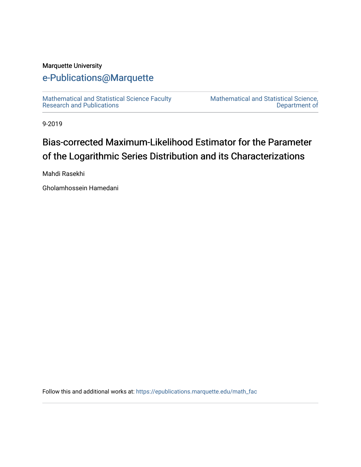### Marquette University

# [e-Publications@Marquette](https://epublications.marquette.edu/)

[Mathematical and Statistical Science Faculty](https://epublications.marquette.edu/math_fac)  [Research and Publications](https://epublications.marquette.edu/math_fac) 

[Mathematical and Statistical Science,](https://epublications.marquette.edu/math)  [Department of](https://epublications.marquette.edu/math) 

9-2019

# Bias-corrected Maximum-Likelihood Estimator for the Parameter of the Logarithmic Series Distribution and its Characterizations

Mahdi Rasekhi

Gholamhossein Hamedani

Follow this and additional works at: [https://epublications.marquette.edu/math\\_fac](https://epublications.marquette.edu/math_fac?utm_source=epublications.marquette.edu%2Fmath_fac%2F70&utm_medium=PDF&utm_campaign=PDFCoverPages)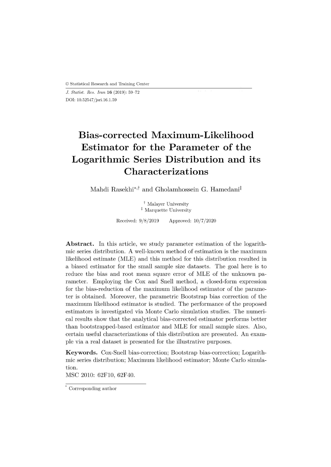*J. Statist. Res. Iran* **16** (2019): 59-72 DOI: 10.52547/jsri.16.1.59

# **Bias-corrected Maximum-Likelihood Estimator for the Parameter of the Logarithmic Series Distribution and its Characterizations**

Mahdi Rasekhi<sup>\*,†</sup> and Gholamhossein G. Hamedani<sup>‡</sup>

<sup>†</sup> Malayer University <sup> $‡$ </sup> Marquette University

Received:  $9/8/2019$  Approved:  $10/7/2020$ 

**Abstract.** In this article, we study parameter estimation of the logarithmic series distribution. A well-known method of estimation is the maximum likelihood estimate (MLE) and this method for this distribution resulted in a biased estimator for the small sample size datasets. The goal here is to reduce the bias and root mean square error of MLE of the unknown parameter. Employing the Cox and Snell method, a closed-form expression for the bias-reduction of the maximum likelihood estimator of the parameter is obtained. Moreover, the parametric Bootstrap bias correction of the maximum likelihood estimator is studied. The performance of the proposed estimators is investigated via Monte Carlo simulation studies. The numerical results show that the analytical bias-corrected estimator performs better than bootstrapped-based estimator and MLE for small sample sizes. Also, certain useful characterizations of this distribution are presented. An example via a real dataset is presented for the illustrative purposes.

**Keywords.** Cox-Snell bias-correction; Bootstrap bias-correction; Logarithmic series distribution; Maximum likelihood estimator; Monte Carlo simulation.

MSC 2010: 62F10, 62F40.

<sup>\*</sup> Corresponding author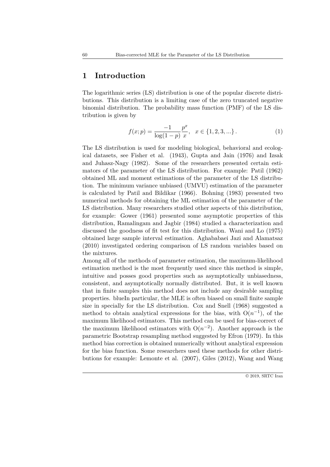#### **1 Introduction**

The logarithmic series (LS) distribution is one of the popular discrete distributions. This distribution is a limiting case of the zero truncated negative binomial distribution. The probability mass function (PMF) of the LS distribution is given by

$$
f(x; p) = \frac{-1}{\log(1-p)} \frac{p^x}{x}, \quad x \in \{1, 2, 3, \ldots\}.
$$
 (1)

The LS distribution is used for modeling biological, behavioral and ecological datasets, see Fisher et al. (1943), Gupta and Jain (1976) and Izsak and Juhasz-Nagy (1982). Some of the researchers presented certain estimators of the parameter of the LS distribution. For example: Patil (1962) obtained ML and moment estimations of the parameter of the LS distribution. The minimum variance unbiased (UMVU) estimation of the parameter is calculated by Patil and Bildikar (1966). Bohning (1983) presented two numerical methods for obtaining the ML estimation of the parameter of the LS distribution. Many researchers studied other aspects of this distribution, for example: Gower (1961) presented some asymptotic properties of this distribution, Ramalingam and Jagbir (1984) studied a characterization and discussed the goodness of fit test for this distribution. Wani and Lo (1975) obtained large sample interval estimation. Aghababaei Jazi and Alamatsaz (2010) investigated ordering comparison of LS random variables based on the mixtures.

Among all of the methods of parameter estimation, the maximum-likelihood estimation method is the most frequently used since this method is simple, intuitive and posses good properties such as asymptotically unbiasedness, consistent, and asymptotically normally distributed. But, it is well known that in finite samples this method does not include any desirable sampling properties. blueIn particular, the MLE is often biased on small finite sample size in specially for the LS distribution. Cox and Snell (1968) suggested a method to obtain analytical expressions for the bias, with  $O(n^{-1})$ , of the maximum likelihood estimators. This method can be used for bias-correct of the maximum likelihood estimators with  $O(n^{-2})$ . Another approach is the parametric Bootstrap resampling method suggested by Efron (1979). In this method bias correction is obtained numerically without analytical expression for the bias function. Some researchers used these methods for other distributions for example: Lemonte et al. (2007), Giles (2012), Wang and Wang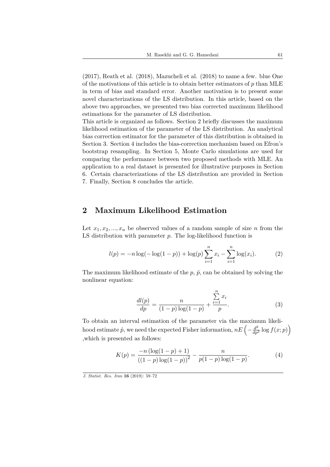(2017), Reath et al. (2018), Mazucheli et al. (2018) to name a few. blue One of the motivations of this article is to obtain better estimators of *p* than MLE in term of bias and standard error. Another motivation is to present some novel characterizations of the LS distribution. In this article, based on the above two approaches, we presented two bias corrected maximum likelihood estimations for the parameter of LS distribution.

This article is organized as follows. Section 2 briefly discusses the maximum likelihood estimation of the parameter of the LS distribution. An analytical bias correction estimator for the parameter of this distribution is obtained in Section 3. Section 4 includes the bias-correction mechanism based on Efron's bootstrap resampling. In Section 5, Monte Carlo simulations are used for comparing the performance between two proposed methods with MLE. An application to a real dataset is presented for illustrative purposes in Section 6. Certain characterizations of the LS distribution are provided in Section 7. Finally, Section 8 concludes the article.

#### **2 Maximum Likelihood Estimation**

Let  $x_1, x_2, ..., x_n$  be observed values of a random sample of size *n* from the LS distribution with parameter *p*. The log-likelihood function is

$$
l(p) = -n \log(-\log(1-p)) + \log(p) \sum_{i=1}^{n} x_i - \sum_{i=1}^{n} \log(x_i).
$$
 (2)

The maximum likelihood estimate of the  $p, \hat{p}$ , can be obtained by solving the nonlinear equation:

$$
\frac{dl(p)}{dp} = \frac{n}{(1-p)\log(1-p)} + \frac{\sum_{i=1}^{n} x_i}{p}.
$$
 (3)

To obtain an interval estimation of the parameter via the maximum likeli- $\frac{d^2}{dx^2}$  log  $f(x; p)$  we need the expected Fisher information,  $nE\left(-\frac{d^2}{dp^2}\log f(x; p)\right)$ ,which is presented as follows:

$$
K(p) = \frac{-n(\log(1-p)+1)}{((1-p)\log(1-p))^2} - \frac{n}{p(1-p)\log(1-p)}.
$$
 (4)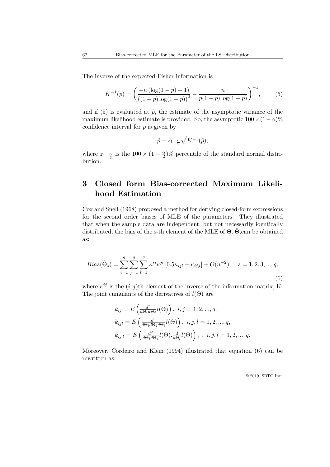The inverse of the expected Fisher information is

$$
K^{-1}(p) = \left(\frac{-n\left(\log(1-p) + 1\right)}{\left(\left(1-p\right)\log(1-p)\right)^2} - \frac{n}{p(1-p)\log(1-p)}\right)^{-1},\tag{5}
$$

and if  $(5)$  is evaluated at  $\hat{p}$ , the estimate of the asymptotic variance of the maximum likelihood estimate is provided. So, the asymptotic  $100 \times (1-\alpha)\%$ confidence interval for *p* is given by

$$
\hat{p} \pm z_{1-\frac{\alpha}{2}} \sqrt{K^{-1}(\hat{p})},
$$

where  $z_{1-\frac{\alpha}{2}}$  is the 100  $\times$  (1 –  $\frac{\alpha}{2}$  $\frac{\alpha}{2}$ % percentile of the standard normal distribution.

## **3 Closed form Bias-corrected Maximum Likelihood Estimation**

Cox and Snell (1968) proposed a method for deriving closed-form expressions for the second order biases of MLE of the parameters. They illustrated that when the sample data are independent, but not necessarily identically distributed, the bias of the s-th element of the MLE of  $\Theta$ ,  $\hat{\Theta}$ ,can be obtained as:

$$
Bias(\hat{\Theta}_s) = \sum_{i=1}^{q} \sum_{j=1}^{q} \sum_{l=1}^{q} \kappa^{si} \kappa^{jl} \left[ 0.5\kappa_{ijl} + \kappa_{ij,l} \right] + O(n^{-2}), \quad s = 1, 2, 3, ..., q,
$$
\n(6)

where  $\kappa^{ij}$  is the  $(i, j)$ th element of the inverse of the information matrix, K. The joint cumulants of the derivatives of *l*(Θ) are

$$
k_{ij} = E\left(\frac{d^2}{d\Theta_i d\Theta_j} l(\Theta)\right), i, j = 1, 2, ..., q,
$$
  
\n
$$
k_{ijl} = E\left(\frac{d^3}{d\Theta_i d\Theta_j d\Theta_l} l(\Theta)\right), i, j, l = 1, 2, ..., q,
$$
  
\n
$$
k_{ij,l} = E\left(\frac{d^2}{d\Theta_i d\Theta_j} l(\Theta) \cdot \frac{d}{d\Theta_l} l(\Theta)\right), i, j, l = 1, 2, ..., q.
$$

Moreover, Cordeiro and Klein (1994) illustrated that equation (6) can be rewritten as: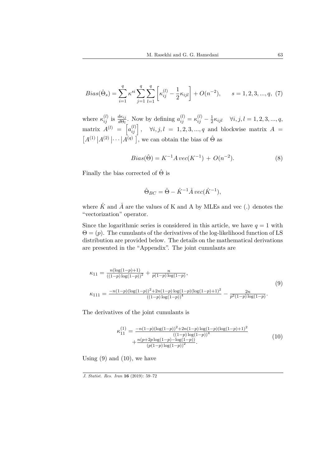$$
Bias(\hat{\Theta}_s) = \sum_{i=1}^{q} \kappa^{si} \sum_{j=1}^{q} \sum_{l=1}^{q} \left[ \kappa_{ij}^{(l)} - \frac{1}{2} \kappa_{ijl} \right] + O(n^{-2}), \qquad s = 1, 2, 3, ..., q, (7)
$$

where  $\kappa_{ij}^{(l)}$  is  $\frac{d\kappa_{ij}}{d\Theta_l}$ . Now by defining  $a_{ij}^{(l)} = \kappa_{ij}^{(l)} - \frac{1}{2}$  $\frac{1}{2}\kappa_{ijl}$   $\forall i, j, l = 1, 2, 3, ..., q,$  $\text{matrix } A^{(l)} = \begin{bmatrix} a_{ij}^{(l)} \end{bmatrix}, \quad \forall i, j, l = 1, 2, 3, ..., q \text{ and blockwise matrix } A =$  $[A^{(1)} | A^{(2)} | \cdots | A^{(q)}]$ , we can obtain the bias of  $\hat{\Theta}$  as

$$
Bias(\hat{\Theta}) = K^{-1}A \, vec(K^{-1}) + O(n^{-2}). \tag{8}
$$

Finally the bias corrected of  $\hat{\Theta}$  is

$$
\hat{\Theta}_{BC} = \hat{\Theta} - \hat{K}^{-1} \hat{A} \, vec(\hat{K}^{-1}),
$$

where  $\hat{K}$  and  $\hat{A}$  are the values of K and A by MLEs and vec (.) denotes the "vectorization" operator.

Since the logarithmic series is considered in this article, we have  $q = 1$  with  $\Theta = (p)$ . The cumulants of the derivatives of the log-likelihood function of LS distribution are provided below. The details on the mathematical derivations are presented in the "Appendix". The joint cumulants are

$$
\kappa_{11} = \frac{n(\log(1-p)+1)}{((1-p)\log(1-p))^2} + \frac{n}{p(1-p)\log(1-p)},
$$
\n
$$
\kappa_{111} = \frac{-n(1-p)(\log(1-p))^2 + 2n(1-p)\log(1-p)(\log(1-p)+1)^2}{((1-p)\log(1-p))^4} - \frac{2n}{p^2(1-p)\log(1-p)}.
$$
\n(9)

The derivatives of the joint cumulants is

$$
\kappa_{11}^{(1)} = \frac{-n(1-p)(\log(1-p))^2 + 2n(1-p)\log(1-p)(\log(1-p)+1)^2}{((1-p)\log(1-p))^4} + \frac{n(p+2p\log(1-p)-\log(1-p))}{(p(1-p)\log(1-p))^2}.
$$
\n(10)

Using  $(9)$  and  $(10)$ , we have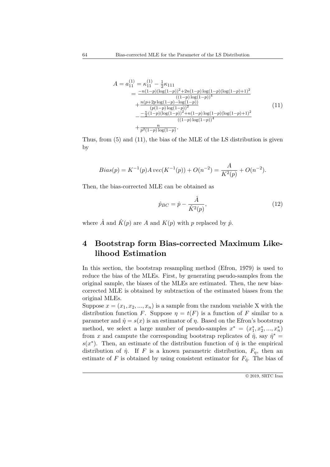$$
A = a_{11}^{(1)} = \kappa_{11}^{(1)} - \frac{1}{2}\kappa_{111}
$$
  
= 
$$
\frac{-n(1-p)(\log(1-p))^2 + 2n(1-p)\log(1-p)(\log(1-p)+1)^2}{((1-p)\log(1-p))^4}
$$
  
+ 
$$
\frac{n(p+2p\log(1-p)-\log(1-p))}{(p(1-p)\log(1-p))^2}
$$
  
- 
$$
\frac{-\frac{n}{2}(1-p)(\log(1-p))^2 + n(1-p)\log(1-p)(\log(1-p)+1)^2}{((1-p)\log(1-p))^4}
$$
  
+ 
$$
\frac{n}{p^2(1-p)\log(1-p)}
$$
. (11)

Thus, from (5) and (11), the bias of the MLE of the LS distribution is given by

$$
Bias(p) = K^{-1}(p)A \, vec(K^{-1}(p)) + O(n^{-2}) = \frac{A}{K^2(p)} + O(n^{-2}).
$$

Then, the bias-corrected MLE can be obtained as

$$
\hat{p}_{BC} = \hat{p} - \frac{\hat{A}}{\hat{K}^2(p)},\tag{12}
$$

where  $\hat{A}$  and  $\hat{K}(p)$  are  $A$  and  $K(p)$  with  $p$  replaced by  $\hat{p}$ .

## **4 Bootstrap form Bias-corrected Maximum Likelihood Estimation**

In this section, the bootstrap resampling method (Efron, 1979) is used to reduce the bias of the MLEs. First, by generating pseudo-samples from the original sample, the biases of the MLEs are estimated. Then, the new biascorrected MLE is obtained by subtraction of the estimated biases from the original MLEs.

Suppose  $x = (x_1, x_2, ..., x_n)$  is a sample from the random variable X with the distribution function *F*. Suppose  $\eta = t(F)$  is a function of *F* similar to a parameter and  $\hat{\eta} = s(x)$  is an estimator of  $\eta$ . Based on the Efron's bootstrap method, we select a large number of pseudo-samples  $x^* = (x_1^*, x_2^*, ..., x_n^*)$ from *x* and campute the corresponding bootstrap replicates of  $\hat{\eta}$ , say  $\hat{\eta}^*$  =  $s(x^*)$ . Then, an estimate of the distribution function of  $\hat{\eta}$  is the empirical distribution of  $\hat{\eta}$ . If *F* is a known parametric distribution,  $F_{\eta}$ , then an estimate of *F* is obtained by using consistent estimator for  $F_{\hat{\eta}}$ . The bias of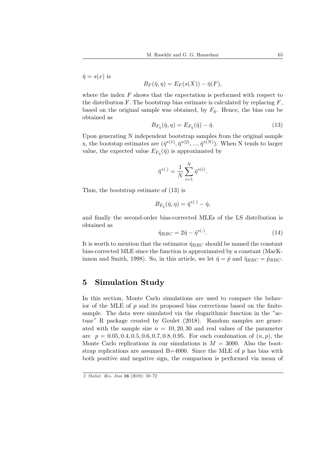$\hat{\eta} = s(x)$  is

$$
B_F(\hat{\eta}, \eta) = E_F(s(X)) - \hat{\eta}(F),
$$

where the index *F* shows that the expectation is performed with respect to the distribution F. The bootstrap bias estimate is calculated by replacing *F*, based on the original sample was obtained, by  $F_{\hat{\eta}}$ . Hence, the bias can be obtained as

$$
B_{F_{\hat{\eta}}}(\hat{\eta}, \eta) = E_{F_{\hat{\eta}}}(\hat{\eta}) - \hat{\eta}.\tag{13}
$$

Upon generating N independent bootstrap samples from the original sample x, the bootstap estimates are  $(\hat{\eta}^{*(1)}, \hat{\eta}^{*(2)}, ..., \hat{\eta}^{*(N)})$ . When N tends to larger value, the expected value  $E_{F_{\hat{\eta}}}(\hat{\eta})$  is approximated by

$$
\hat{\eta}^{*(.)} = \frac{1}{N} \sum_{i=1}^{N} \hat{\eta}^{*(i)}.
$$

Thus, the bootstrap estimate of (13) is

$$
B_{F_{\hat{\eta}}}(\hat{\eta}, \eta) = \hat{\eta}^{* (.)} - \hat{\eta},
$$

and finally the second-order bias-corrected MLEs of the LS distribution is obtained as

$$
\hat{\eta}_{BBC} = 2\hat{\eta} - \hat{\eta}^{*(.)}.
$$
\n(14)

It is worth to mention that the estimator  $\hat{\eta}_{BBC}$  should be named the constant bias-corrected MLE since the function is approximated by a constant (MacKinnon and Smith, 1998). So, in this article, we let  $\hat{\eta} = \hat{p}$  and  $\hat{\eta}_{BBC} = \hat{p}_{BBC}$ .

#### **5 Simulation Study**

In this section, Monte Carlo simulations are used to compare the behavior of the MLE of *p* and its proposed bias corrections based on the finitesample. The data were simulated via the rlogarithmic function in the "actuar" R package created by Goulet (2018). Random samples are generated with the sample size  $n = 10, 20, 30$  and real values of the parameter are *p* = 0*.*05*,* 0*.*4*,* 0*.*5*,* 0*.*6*,* 0*.*7*,* 0*.*8*,* 0*.*95. For each combination of (*n, p*), the Monte Carlo replications in our simulations is  $M = 3000$ . Also the bootstrap replications are assumed  $B=4000$ . Since the MLE of  $p$  has bias with both positive and negative sign, the comparison is performed via mean of

*J. Statist. Res. Iran* **16** (2019): 59–72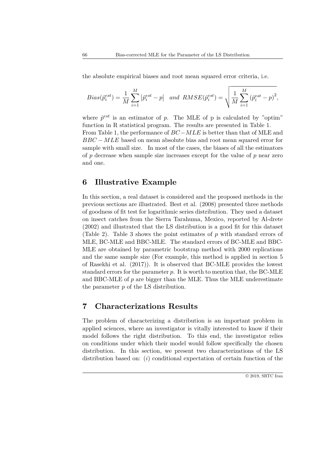the absolute empirical biases and root mean squared error criteria, i.e.

$$
Bias(\hat{p}_i^{est}) = \frac{1}{M} \sum_{i=1}^{M} |\hat{p}_i^{est} - p| \text{ and } RMSE(\hat{p}_i^{est}) = \sqrt{\frac{1}{M} \sum_{i=1}^{M} (\hat{p}_i^{est} - p)^2},
$$

where  $\hat{p}^{est}$  is an estimator of  $p$ . The MLE of  $p$  is calculated by "optim" function in R statistical program. The results are presented in Table 1. From Table 1, the performance of *BC−MLE* is better than that of MLE and *BBC* − *MLE* based on mean absolute bias and root mean squared error for sample with small size. In most of the cases, the biases of all the estimators of *p* decrease when sample size increases except for the value of *p* near zero and one.

#### **6 Illustrative Example**

In this section, a real dataset is considered and the proposed methods in the previous sections are illustrated. Best et al. (2008) presented three methods of goodness of fit test for logarithmic series distribution. They used a dataset on insect catches from the Sierra Tarahuma, Mexico, reported by Al-drete (2002) and illustrated that the LS distribution is a good fit for this dataset (Table 2). Table 3 shows the point estimates of *p* with standard errors of MLE, BC-MLE and BBC-MLE. The standard errors of BC-MLE and BBC-MLE are obtained by parametric bootstrap method with 2000 replications and the same sample size (For example, this method is applied in section 5 of Rasekhi et al. (2017)). It is observed that BC-MLE provides the lowest standard errors for the parameter *p*. It is worth to mention that, the BC-MLE and BBC-MLE of *p* are bigger than the MLE. Thus the MLE underestimate the parameter *p* of the LS distribution.

#### **7 Characterizations Results**

The problem of characterizing a distribution is an important problem in applied sciences, where an investigator is vitally interested to know if their model follows the right distribution. To this end, the investigator relies on conditions under which their model would follow specifically the chosen distribution. In this section, we present two characterizations of the LS distribution based on: (*i*) conditional expectation of certain function of the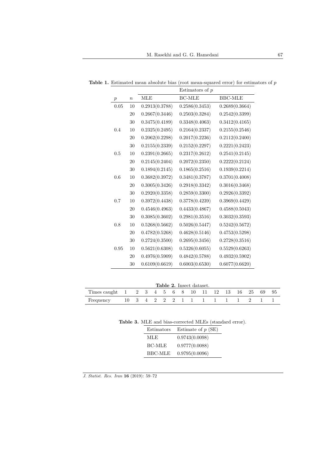|                  |                  |                | Estimators of $p$ |                |
|------------------|------------------|----------------|-------------------|----------------|
| $\boldsymbol{p}$ | $\boldsymbol{n}$ | <b>MLE</b>     | <b>BC-MLE</b>     | <b>BBC-MLE</b> |
| 0.05             | 10               | 0.2913(0.3788) | 0.2586(0.3453)    | 0.2689(0.3664) |
|                  | 20               | 0.2667(0.3446) | 0.2503(0.3284)    | 0.2542(0.3399) |
|                  | 30               | 0.3475(0.4189) | 0.3348(0.4063)    | 0.3412(0.4165) |
| 0.4              | 10               | 0.2325(0.2495) | 0.2164(0.2337)    | 0.2155(0.2546) |
|                  | $20\,$           | 0.2062(0.2298) | 0.2017(0.2236)    | 0.2112(0.2400) |
|                  | $30\,$           | 0.2155(0.2339) | 0.2152(0.2297)    | 0.2221(0.2423) |
| 0.5              | 10               | 0.2391(0.2665) | 0.2317(0.2612)    | 0.2541(0.2145) |
|                  | 20               | 0.2145(0.2404) | 0.2072(0.2350)    | 0.2222(0.2124) |
|                  | 30               | 0.1894(0.2145) | 0.1865(0.2516)    | 0.1939(0.2214) |
| 0.6              | 10               | 0.3682(0.3972) | 0.3481(0.3787)    | 0.3701(0.4008) |
|                  | 20               | 0.3005(0.3426) | 0.2918(0.3342)    | 0.3016(0.3468) |
|                  | 30               | 0.2920(0.3358) | 0.2859(0.3300)    | 0.2926(0.3392) |
| 0.7              | 10               | 0.3972(0.4438) | 0.3778(0.4239)    | 0.3969(0.4429) |
|                  | 20               | 0.4546(0.4963) | 0.4433(0.4867)    | 0.4588(0.5043) |
|                  | 30               | 0.3085(0.3602) | 0.2981(0.3516)    | 0.3032(0.3593) |
| 0.8              | 10               | 0.5268(0.5662) | 0.5026(0.5447)    | 0.5242(0.5672) |
|                  | 20               | 0.4782(0.5268) | 0.4628(0.5146)    | 0.4753(0.5298) |
|                  | 30               | 0.2724(0.3500) | 0.2695(0.3456)    | 0.2728(0.3516) |
| 0.95             | 10               | 0.5621(0.6308) | 0.5326(0.6055)    | 0.5529(0.6263) |
|                  | 20               | 0.4976(0.5909) | 0.4842(0.5788)    | 0.4932(0.5902) |
|                  | 30               | 0.6109(0.6619) | 0.6003(0.6530)    | 0.6077(0.6620) |

**Table 1.** Estimated mean absolute bias (root mean-squared error) for estimators of *p*

|  |  |  |  | <b>Table 2.</b> Insect dataset. |
|--|--|--|--|---------------------------------|
|--|--|--|--|---------------------------------|

| Times caught 1 2 3 4 5 6 8 10 11 12 13 16 25 69 95 |  |  |  |  |  |  |  |  |
|----------------------------------------------------|--|--|--|--|--|--|--|--|
| Frequency 10 3 4 2 2 2 1 1 1 1 1 1 2 1 1           |  |  |  |  |  |  |  |  |

|  | Table 3. MLE and bias-corrected MLEs (standard error). |  |  |
|--|--------------------------------------------------------|--|--|
|  |                                                        |  |  |

| Estimators | Estimate of $p(SE)$ |
|------------|---------------------|
| MLE.       | 0.9743(0.0098)      |
| BC-MLE     | 0.9777(0.0088)      |
| BBC-MLE    | 0.9795(0.0096)      |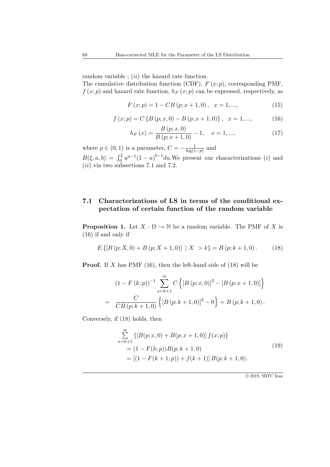random variable ; (*ii*) the hazard rate function.

The cumulative distribution function (CDF),  $F(x; p)$ , corresponding PMF,  $f(x; p)$  and hazard rate function,  $h_F(x; p)$  can be expressed, respectively, as

$$
F(x; p) = 1 - CB (p; x + 1, 0), \quad x = 1, ..., \tag{15}
$$

$$
f(x; p) = C \{ B (p; x, 0) - B (p; x + 1, 0) \}, \quad x = 1, ..., \tag{16}
$$

$$
h_F(x) = \frac{B(p; x, 0)}{B(p; x + 1, 0)} - 1, \quad x = 1, ..., \tag{17}
$$

where  $p \in (0, 1)$  is a parameter,  $C = -\frac{1}{\log(1)}$ log(1*−p*) and  $B(\xi, a, b) = \int_0^{\xi} u^{a-1}(1-u)^{b-1} du$ . We present our characterizations (*i*) and (*ii*) via two subsections 7.1 and 7.2.

#### **7.1 Characterizations of LS in terms of the conditional expectation of certain function of the random variable**

**Proposition 1.** Let  $X : \Omega \to \mathbb{N}$  be a random variable. The PMF of *X* is (16) if and only if

$$
E\left\{ \left[ B\left( p;X,0\right) +B\left( p;X+1,0\right) \right] \mid X>k\right\} =B\left( p;k+1,0\right). \tag{18}
$$

**Proof.** If *X* has PMF (16), then the left-hand side of (18) will be

$$
(1 - F(k; p))^{-1} \sum_{x=k+1}^{\infty} C \left\{ [B (p; x, 0)]^2 - [B (p; x + 1, 0)] \right\}
$$
  
= 
$$
\frac{C}{CB (p; k + 1, 0)} \left\{ [B (p; k + 1, 0)]^2 - 0 \right\} = B (p; k + 1, 0).
$$

Conversely, if (18) holds, then

$$
\sum_{x=k+1}^{\infty} \{ [B(p; x, 0) + B(p; x+1, 0)] f(x; p) \}
$$
  
=  $(1 - F(k; p))B(p; k+1, 0)$   
=  $[(1 - F(k+1; p)) + f(k+1)] B(p; k+1, 0).$  (19)

© 2019, SRTC Iran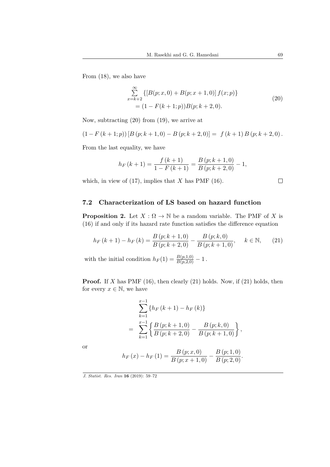From (18), we also have

$$
\sum_{x=k+2}^{\infty} \{ [B(p; x, 0) + B(p; x+1, 0)] f(x; p) \}
$$
  
=  $(1 - F(k+1; p)) B(p; k+2, 0).$  (20)

Now, subtracting (20) from (19), we arrive at

$$
(1 - F(k + 1; p)) [B (p; k + 1, 0) - B (p; k + 2, 0)] = f (k + 1) B (p; k + 2, 0).
$$

From the last equality, we have

$$
h_F(k+1) = \frac{f(k+1)}{1 - F(k+1)} = \frac{B(p;k+1,0)}{B(p;k+2,0)} - 1,
$$

which, in view of (17), implies that *X* has PMF (16).

$$
\Box
$$

#### **7.2 Characterization of LS based on hazard function**

**Proposition 2.** Let  $X : \Omega \to \mathbb{N}$  be a random variable. The PMF of *X* is (16) if and only if its hazard rate function satisfies the difference equation

$$
h_F(k+1) - h_F(k) = \frac{B(p;k+1,0)}{B(p;k+2,0)} - \frac{B(p;k,0)}{B(p;k+1,0)}, \quad k \in \mathbb{N}, \qquad (21)
$$

with the initial condition  $h_F(1) = \frac{B(p,1,0)}{B(p,2,0)} - 1$ .

**Proof.** If *X* has PMF (16), then clearly (21) holds. Now, if (21) holds, then for every  $x \in \mathbb{N}$ , we have

$$
\sum_{k=1}^{x-1} \left\{ h_F(k+1) - h_F(k) \right\}
$$
  
= 
$$
\sum_{k=1}^{x-1} \left\{ \frac{B(p;k+1,0)}{B(p;k+2,0)} - \frac{B(p;k,0)}{B(p;k+1,0)} \right\},
$$

or

$$
h_{F}(x) - h_{F}(1) = \frac{B(p; x, 0)}{B(p; x + 1, 0)} - \frac{B(p; 1, 0)}{B(p; 2, 0)}.
$$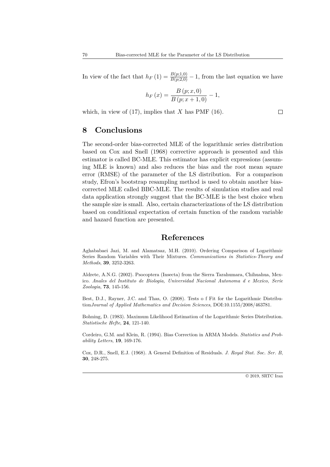In view of the fact that  $h_F(1) = \frac{B(p;1,0)}{B(p;2,0)} - 1$ , from the last equation we have

$$
h_F(x) = \frac{B(p; x, 0)}{B(p; x + 1, 0)} - 1,
$$

which, in view of  $(17)$ , implies that *X* has PMF  $(16)$ .

#### **8 Conclusions**

The second-order bias-corrected MLE of the logarithmic series distribution based on Cox and Snell (1968) corrective approach is presented and this estimator is called BC-MLE. This estimator has explicit expressions (assuming MLE is known) and also reduces the bias and the root mean square error (RMSE) of the parameter of the LS distribution. For a comparison study, Efron's bootstrap resampling method is used to obtain another biascorrected MLE called BBC-MLE. The results of simulation studies and real data application strongly suggest that the BC-MLE is the best choice when the sample size is small. Also, certain characterizations of the LS distribution based on conditional expectation of certain function of the random variable and hazard function are presented.

#### **References**

Aghababaei Jazi, M. and Alamatsaz, M.H. (2010). Ordering Comparison of Logarithmic Series Random Variables with Their Mixtures. *Communications in Statistics-Theory and Methods*, **39**, 3252-3263.

Aldrete, A.N.G. (2002). Psocoptera (Insecta) from the Sierra Tarahumara, Chihuahua, Mexico. *Anales del Instituto de Biologia, Universidad Nacional Autonoma d e Mexico, Serie Zoologia*, **73**, 145-156.

Best, D.J., Rayner, J.C. and Thas, O. (2008). Tests o f Fit for the Logarithmic Distribution*Journal of Applied Mathematics and Decision Sciences*, DOI:10.1155/2008/463781.

Bohning, D. (1983). Maximum Likelihood Estimation of the Logarithmic Series Distribution. *Statistische Hefte*, **24**, 121-140.

Cordeiro, G.M. and Klein, R. (1994). Bias Correction in ARMA Models. *Statistics and Probability Letters*, **19**, 169-176.

Cox, D.R., Snell, E.J. (1968). A General Definition of Residuals. *J. Royal Stat. Soc. Ser. B*, **30**, 248-275.

 $\Box$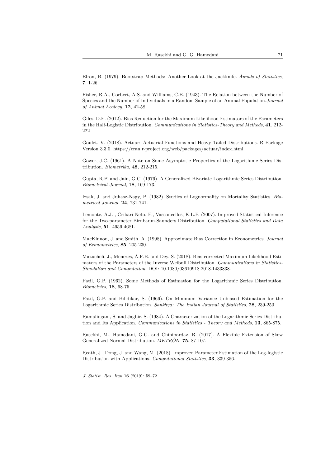Efron, B. (1979). Bootstrap Methods: Another Look at the Jackknife. *Annals of Statistics*, **7**, 1-26.

Fisher, R.A., Corbert, A.S. and Williams, C.B. (1943). The Relation between the Number of Species and the Number of Individuals in a Random Sample of an Animal Population.*Journal of Animal Ecology*, **12**, 42-58.

Giles, D.E. (2012). Bias Reduction for the Maximum Likelihood Estimators of the Parameters in the Half-Logistic Distribution. *Communications in Statistics-Theory and Methods*, **41**, 212- 222.

Goulet, V. (2018). Actuar: Actuarial Functions and Heavy Tailed Distributions. R Package Version 3.3.0. https://cran.r-project.org/web/packages/actuar/index.html.

Gower, J.C. (1961). A Note on Some Asymptotic Properties of the Logarithmic Series Distribution. *Biometrika*, **48**, 212-215.

Gupta, R.P. and Jain, G.C. (1976). A Generalized Bivariate Logarithmic Series Distribution. *Biometrical Journal*, **18**, 169-173.

Izsak, J. and Juhasz-Nagy, P. (1982). Studies of Lognormality on Mortality Statistics. *Biometrical Journal*, **24**, 731-741.

Lemonte, A.J. , Cribari-Neto, F., Vasconcellos, K.L.P. (2007). Improved Statistical Inference for the Two-parameter Birnbaum-Saunders Distribution. *Computational Statistics and Data Analysis*, **51**, 4656-4681.

MacKinnon, J. and Smith, A. (1998). Approximate Bias Correction in Econometrics. *Journal of Econometrics*, **85**, 205-230.

Mazucheli, J., Menezes, A.F.B. and Dey, S. (2018). Bias-corrected Maximum Likelihood Estimators of the Parameters of the Inverse Weibull Distribution. *Communications in Statistics-Simulation and Computation*, DOI: 10.1080/03610918.2018.1433838.

Patil, G.P. (1962). Some Methods of Estimation for the Logarithmic Series Distribution. *Biometrics*, **18**, 68-75.

Patil, G.P. and Bilidikar, S. (1966). On Minimum Variance Unbiased Estimation for the Logarithmic Series Distribution. *Sankhya: The Indian Journal of Statistics*, **28**, 239-250.

Ramalingam, S. and Jagbir, S. (1984). A Characterization of the Logarithmic Series Distribution and Its Application. *Communications in Statistics - Theory and Methods*, **13**, 865-875.

Rasekhi, M., Hamedani, G.G. and Chinipardaz, R. (2017). A Flexible Extension of Skew Generalized Normal Distribution. *METRON*, **75**, 87-107.

Reath, J., Dong, J. and Wang, M. (2018). Improved Parameter Estimation of the Log-logistic Distribution with Applications. *Computational Statistics*, **33**, 339-356.

*J. Statist. Res. Iran* **16** (2019): 59–72